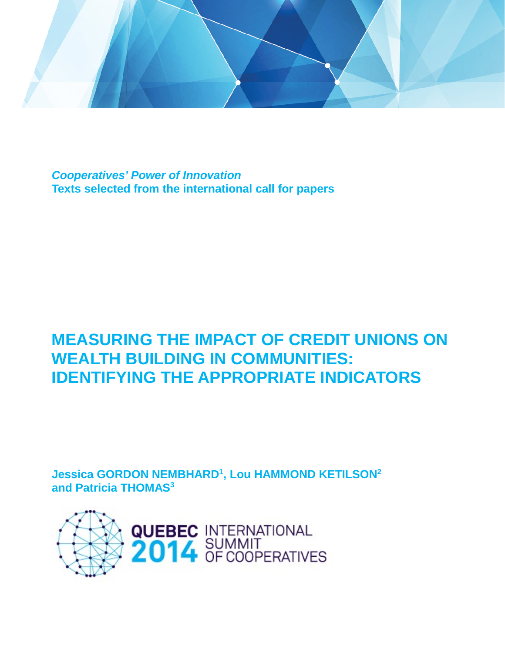

*Cooperatives' Power of Innovation* **Texts selected from the international call for papers**

# **MEASURING THE IMPACT OF CREDIT UNIONS ON WEALTH BUILDING IN COMMUNITIES: IDENTIFYING THE APPROPRIATE INDICATORS**

**Jessica GORDON NEMBHARD1 , Lou HAMMOND KETILSON2 and Patricia THOMAS3**

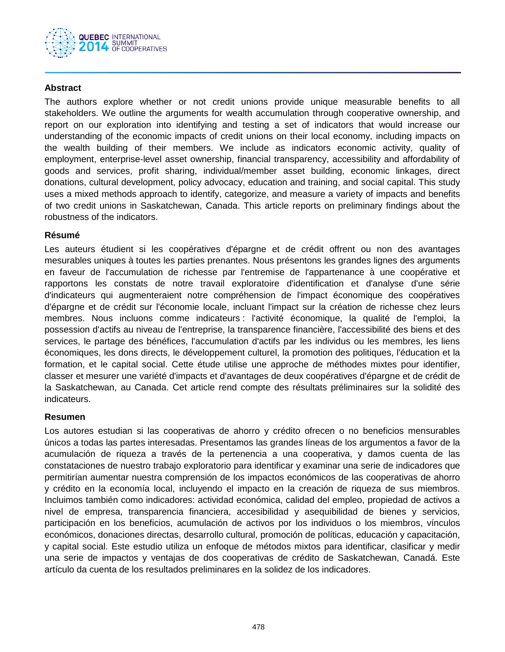

### **Abstract**

The authors explore whether or not credit unions provide unique measurable benefits to all stakeholders. We outline the arguments for wealth accumulation through cooperative ownership, and report on our exploration into identifying and testing a set of indicators that would increase our understanding of the economic impacts of credit unions on their local economy, including impacts on the wealth building of their members. We include as indicators economic activity, quality of employment, enterprise-level asset ownership, financial transparency, accessibility and affordability of goods and services, profit sharing, individual/member asset building, economic linkages, direct donations, cultural development, policy advocacy, education and training, and social capital. This study uses a mixed methods approach to identify, categorize, and measure a variety of impacts and benefits of two credit unions in Saskatchewan, Canada. This article reports on preliminary findings about the robustness of the indicators.

#### **Résumé**

Les auteurs étudient si les coopératives d'épargne et de crédit offrent ou non des avantages mesurables uniques à toutes les parties prenantes. Nous présentons les grandes lignes des arguments en faveur de l'accumulation de richesse par l'entremise de l'appartenance à une coopérative et rapportons les constats de notre travail exploratoire d'identification et d'analyse d'une série d'indicateurs qui augmenteraient notre compréhension de l'impact économique des coopératives d'épargne et de crédit sur l'économie locale, incluant l'impact sur la création de richesse chez leurs membres. Nous incluons comme indicateurs : l'activité économique, la qualité de l'emploi, la possession d'actifs au niveau de l'entreprise, la transparence financière, l'accessibilité des biens et des services, le partage des bénéfices, l'accumulation d'actifs par les individus ou les membres, les liens économiques, les dons directs, le développement culturel, la promotion des politiques, l'éducation et la formation, et le capital social. Cette étude utilise une approche de méthodes mixtes pour identifier, classer et mesurer une variété d'impacts et d'avantages de deux coopératives d'épargne et de crédit de la Saskatchewan, au Canada. Cet article rend compte des résultats préliminaires sur la solidité des indicateurs.

#### **Resumen**

Los autores estudian si las cooperativas de ahorro y crédito ofrecen o no beneficios mensurables únicos a todas las partes interesadas. Presentamos las grandes líneas de los argumentos a favor de la acumulación de riqueza a través de la pertenencia a una cooperativa, y damos cuenta de las constataciones de nuestro trabajo exploratorio para identificar y examinar una serie de indicadores que permitirían aumentar nuestra comprensión de los impactos económicos de las cooperativas de ahorro y crédito en la economía local, incluyendo el impacto en la creación de riqueza de sus miembros. Incluimos también como indicadores: actividad económica, calidad del empleo, propiedad de activos a nivel de empresa, transparencia financiera, accesibilidad y asequibilidad de bienes y servicios, participación en los beneficios, acumulación de activos por los individuos o los miembros, vínculos económicos, donaciones directas, desarrollo cultural, promoción de políticas, educación y capacitación, y capital social. Este estudio utiliza un enfoque de métodos mixtos para identificar, clasificar y medir una serie de impactos y ventajas de dos cooperativas de crédito de Saskatchewan, Canadá. Este artículo da cuenta de los resultados preliminares en la solidez de los indicadores.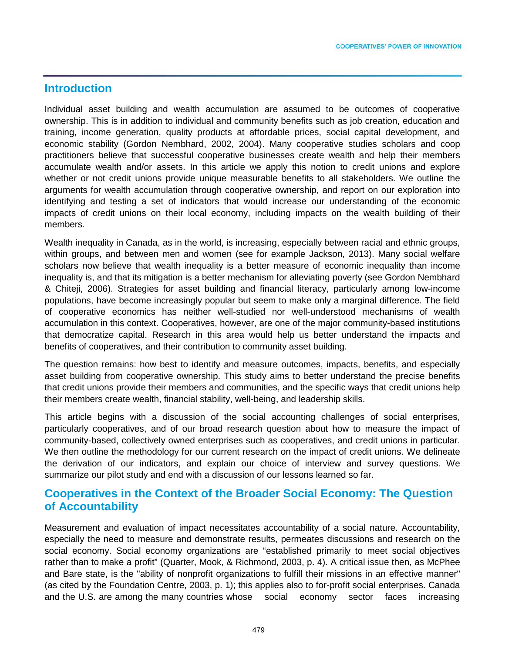## **Introduction**

Individual asset building and wealth accumulation are assumed to be outcomes of cooperative ownership. This is in addition to individual and community benefits such as job creation, education and training, income generation, quality products at affordable prices, social capital development, and economic stability (Gordon Nembhard, 2002, 2004). Many cooperative studies scholars and coop practitioners believe that successful cooperative businesses create wealth and help their members accumulate wealth and/or assets. In this article we apply this notion to credit unions and explore whether or not credit unions provide unique measurable benefits to all stakeholders. We outline the arguments for wealth accumulation through cooperative ownership, and report on our exploration into identifying and testing a set of indicators that would increase our understanding of the economic impacts of credit unions on their local economy, including impacts on the wealth building of their members.

Wealth inequality in Canada, as in the world, is increasing, especially between racial and ethnic groups, within groups, and between men and women (see for example Jackson, 2013). Many social welfare scholars now believe that wealth inequality is a better measure of economic inequality than income inequality is, and that its mitigation is a better mechanism for alleviating poverty (see Gordon Nembhard & Chiteji, 2006). Strategies for asset building and financial literacy, particularly among low-income populations, have become increasingly popular but seem to make only a marginal difference. The field of cooperative economics has neither well-studied nor well-understood mechanisms of wealth accumulation in this context. Cooperatives, however, are one of the major community-based institutions that democratize capital. Research in this area would help us better understand the impacts and benefits of cooperatives, and their contribution to community asset building.

The question remains: how best to identify and measure outcomes, impacts, benefits, and especially asset building from cooperative ownership. This study aims to better understand the precise benefits that credit unions provide their members and communities, and the specific ways that credit unions help their members create wealth, financial stability, well-being, and leadership skills.

This article begins with a discussion of the social accounting challenges of social enterprises, particularly cooperatives, and of our broad research question about how to measure the impact of community-based, collectively owned enterprises such as cooperatives, and credit unions in particular. We then outline the methodology for our current research on the impact of credit unions. We delineate the derivation of our indicators, and explain our choice of interview and survey questions. We summarize our pilot study and end with a discussion of our lessons learned so far.

## **Cooperatives in the Context of the Broader Social Economy: The Question of Accountability**

Measurement and evaluation of impact necessitates accountability of a social nature. Accountability, especially the need to measure and demonstrate results, permeates discussions and research on the social economy. Social economy organizations are "established primarily to meet social objectives rather than to make a profit" (Quarter, Mook, & Richmond, 2003, p. 4). A critical issue then, as McPhee and Bare state, is the "ability of nonprofit organizations to fulfill their missions in an effective manner" (as cited by the Foundation Centre, 2003, p. 1); this applies also to for-profit social enterprises. Canada and the U.S. are among the many countries whose social economy sector faces increasing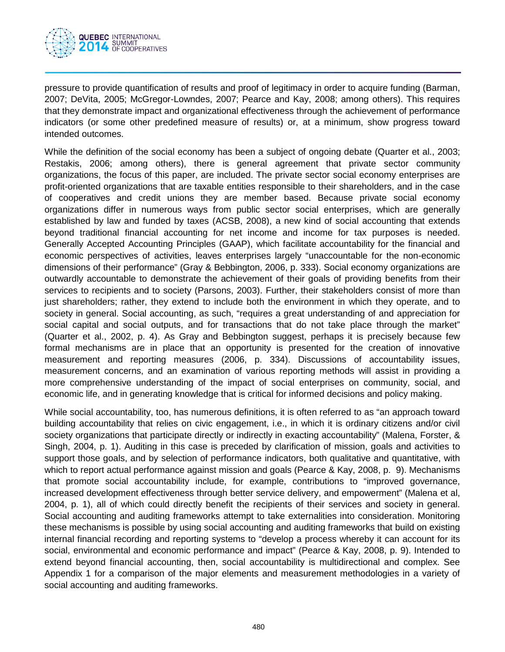

pressure to provide quantification of results and proof of legitimacy in order to acquire funding (Barman, 2007; DeVita, 2005; McGregor-Lowndes, 2007; Pearce and Kay, 2008; among others). This requires that they demonstrate impact and organizational effectiveness through the achievement of performance indicators (or some other predefined measure of results) or, at a minimum, show progress toward intended outcomes.

While the definition of the social economy has been a subject of ongoing debate (Quarter et al., 2003; Restakis, 2006; among others), there is general agreement that private sector community organizations, the focus of this paper, are included. The private sector social economy enterprises are profit-oriented organizations that are taxable entities responsible to their shareholders, and in the case of cooperatives and credit unions they are member based. Because private social economy organizations differ in numerous ways from public sector social enterprises, which are generally established by law and funded by taxes (ACSB, 2008), a new kind of social accounting that extends beyond traditional financial accounting for net income and income for tax purposes is needed. Generally Accepted Accounting Principles (GAAP), which facilitate accountability for the financial and economic perspectives of activities, leaves enterprises largely "unaccountable for the non-economic dimensions of their performance" (Gray & Bebbington, 2006, p. 333). Social economy organizations are outwardly accountable to demonstrate the achievement of their goals of providing benefits from their services to recipients and to society (Parsons, 2003). Further, their stakeholders consist of more than just shareholders; rather, they extend to include both the environment in which they operate, and to society in general. Social accounting, as such, "requires a great understanding of and appreciation for social capital and social outputs, and for transactions that do not take place through the market" (Quarter et al., 2002, p. 4). As Gray and Bebbington suggest, perhaps it is precisely because few formal mechanisms are in place that an opportunity is presented for the creation of innovative measurement and reporting measures (2006, p. 334). Discussions of accountability issues, measurement concerns, and an examination of various reporting methods will assist in providing a more comprehensive understanding of the impact of social enterprises on community, social, and economic life, and in generating knowledge that is critical for informed decisions and policy making.

While social accountability, too, has numerous definitions, it is often referred to as "an approach toward building accountability that relies on civic engagement, i.e., in which it is ordinary citizens and/or civil society organizations that participate directly or indirectly in exacting accountability" (Malena, Forster, & Singh, 2004, p. 1). Auditing in this case is preceded by clarification of mission, goals and activities to support those goals, and by selection of performance indicators, both qualitative and quantitative, with which to report actual performance against mission and goals (Pearce & Kay, 2008, p. 9). Mechanisms that promote social accountability include, for example, contributions to "improved governance, increased development effectiveness through better service delivery, and empowerment" (Malena et al, 2004, p. 1), all of which could directly benefit the recipients of their services and society in general. Social accounting and auditing frameworks attempt to take externalities into consideration. Monitoring these mechanisms is possible by using social accounting and auditing frameworks that build on existing internal financial recording and reporting systems to "develop a process whereby it can account for its social, environmental and economic performance and impact" (Pearce & Kay, 2008, p. 9). Intended to extend beyond financial accounting, then, social accountability is multidirectional and complex. See Appendix 1 for a comparison of the major elements and measurement methodologies in a variety of social accounting and auditing frameworks.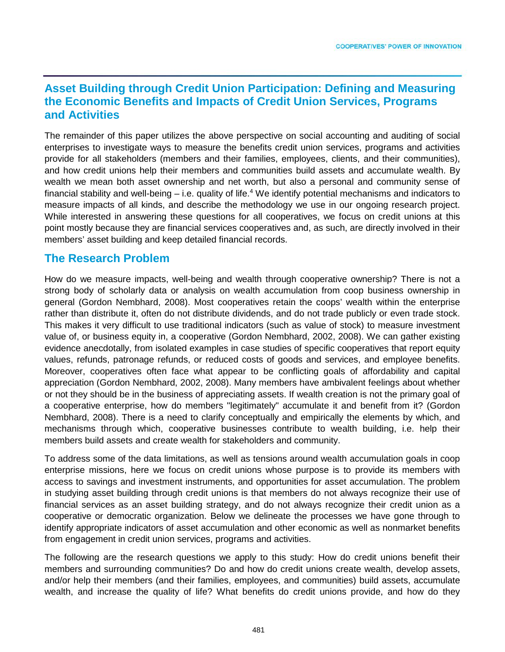## **Asset Building through Credit Union Participation: Defining and Measuring the Economic Benefits and Impacts of Credit Union Services, Programs and Activities**

The remainder of this paper utilizes the above perspective on social accounting and auditing of social enterprises to investigate ways to measure the benefits credit union services, programs and activities provide for all stakeholders (members and their families, employees, clients, and their communities), and how credit unions help their members and communities build assets and accumulate wealth. By wealth we mean both asset ownership and net worth, but also a personal and community sense of financial stability and well-being – i.e. quality of life.<sup>4</sup> We identify potential mechanisms and indicators to measure impacts of all kinds, and describe the methodology we use in our ongoing research project. While interested in answering these questions for all cooperatives, we focus on credit unions at this point mostly because they are financial services cooperatives and, as such, are directly involved in their members' asset building and keep detailed financial records.

## **The Research Problem**

How do we measure impacts, well-being and wealth through cooperative ownership? There is not a strong body of scholarly data or analysis on wealth accumulation from coop business ownership in general (Gordon Nembhard, 2008). Most cooperatives retain the coops' wealth within the enterprise rather than distribute it, often do not distribute dividends, and do not trade publicly or even trade stock. This makes it very difficult to use traditional indicators (such as value of stock) to measure investment value of, or business equity in, a cooperative (Gordon Nembhard, 2002, 2008). We can gather existing evidence anecdotally, from isolated examples in case studies of specific cooperatives that report equity values, refunds, patronage refunds, or reduced costs of goods and services, and employee benefits. Moreover, cooperatives often face what appear to be conflicting goals of affordability and capital appreciation (Gordon Nembhard, 2002, 2008). Many members have ambivalent feelings about whether or not they should be in the business of appreciating assets. If wealth creation is not the primary goal of a cooperative enterprise, how do members "legitimately" accumulate it and benefit from it? (Gordon Nembhard, 2008). There is a need to clarify conceptually and empirically the elements by which, and mechanisms through which, cooperative businesses contribute to wealth building, i.e. help their members build assets and create wealth for stakeholders and community.

To address some of the data limitations, as well as tensions around wealth accumulation goals in coop enterprise missions, here we focus on credit unions whose purpose is to provide its members with access to savings and investment instruments, and opportunities for asset accumulation. The problem in studying asset building through credit unions is that members do not always recognize their use of financial services as an asset building strategy, and do not always recognize their credit union as a cooperative or democratic organization. Below we delineate the processes we have gone through to identify appropriate indicators of asset accumulation and other economic as well as nonmarket benefits from engagement in credit union services, programs and activities.

The following are the research questions we apply to this study: How do credit unions benefit their members and surrounding communities? Do and how do credit unions create wealth, develop assets, and/or help their members (and their families, employees, and communities) build assets, accumulate wealth, and increase the quality of life? What benefits do credit unions provide, and how do they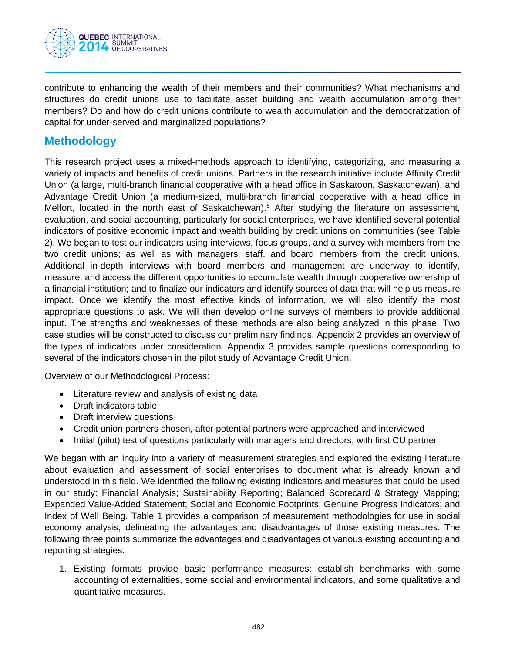

contribute to enhancing the wealth of their members and their communities? What mechanisms and structures do credit unions use to facilitate asset building and wealth accumulation among their members? Do and how do credit unions contribute to wealth accumulation and the democratization of capital for under-served and marginalized populations?

## **Methodology**

This research project uses a mixed-methods approach to identifying, categorizing, and measuring a variety of impacts and benefits of credit unions. Partners in the research initiative include Affinity Credit Union (a large, multi-branch financial cooperative with a head office in Saskatoon, Saskatchewan), and Advantage Credit Union (a medium-sized, multi-branch financial cooperative with a head office in Melfort, located in the north east of Saskatchewan).<sup>5</sup> After studying the literature on assessment, evaluation, and social accounting, particularly for social enterprises, we have identified several potential indicators of positive economic impact and wealth building by credit unions on communities (see Table 2). We began to test our indicators using interviews, focus groups, and a survey with members from the two credit unions; as well as with managers, staff, and board members from the credit unions. Additional in-depth interviews with board members and management are underway to identify, measure, and access the different opportunities to accumulate wealth through cooperative ownership of a financial institution; and to finalize our indicators and identify sources of data that will help us measure impact. Once we identify the most effective kinds of information, we will also identify the most appropriate questions to ask. We will then develop online surveys of members to provide additional input. The strengths and weaknesses of these methods are also being analyzed in this phase. Two case studies will be constructed to discuss our preliminary findings. Appendix 2 provides an overview of the types of indicators under consideration. Appendix 3 provides sample questions corresponding to several of the indicators chosen in the pilot study of Advantage Credit Union.

Overview of our Methodological Process:

- Literature review and analysis of existing data
- Draft indicators table
- Draft interview questions
- Credit union partners chosen, after potential partners were approached and interviewed
- Initial (pilot) test of questions particularly with managers and directors, with first CU partner

We began with an inquiry into a variety of measurement strategies and explored the existing literature about evaluation and assessment of social enterprises to document what is already known and understood in this field. We identified the following existing indicators and measures that could be used in our study: Financial Analysis; Sustainability Reporting; Balanced Scorecard & Strategy Mapping; Expanded Value-Added Statement; Social and Economic Footprints; Genuine Progress Indicators; and Index of Well Being. Table 1 provides a comparison of measurement methodologies for use in social economy analysis, delineating the advantages and disadvantages of those existing measures. The following three points summarize the advantages and disadvantages of various existing accounting and reporting strategies:

1. Existing formats provide basic performance measures; establish benchmarks with some accounting of externalities, some social and environmental indicators, and some qualitative and quantitative measures.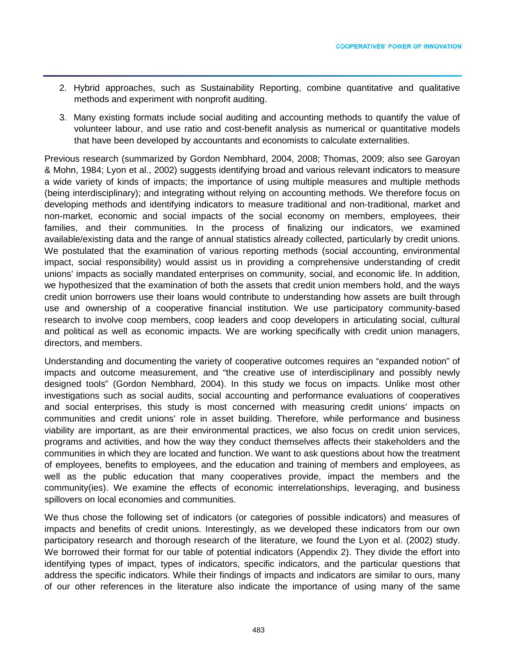- 2. Hybrid approaches, such as Sustainability Reporting, combine quantitative and qualitative methods and experiment with nonprofit auditing.
- 3. Many existing formats include social auditing and accounting methods to quantify the value of volunteer labour, and use ratio and cost-benefit analysis as numerical or quantitative models that have been developed by accountants and economists to calculate externalities.

Previous research (summarized by Gordon Nembhard, 2004, 2008; Thomas, 2009; also see Garoyan & Mohn, 1984; Lyon et al., 2002) suggests identifying broad and various relevant indicators to measure a wide variety of kinds of impacts; the importance of using multiple measures and multiple methods (being interdisciplinary); and integrating without relying on accounting methods. We therefore focus on developing methods and identifying indicators to measure traditional and non-traditional, market and non-market, economic and social impacts of the social economy on members, employees, their families, and their communities. In the process of finalizing our indicators, we examined available/existing data and the range of annual statistics already collected, particularly by credit unions. We postulated that the examination of various reporting methods (social accounting, environmental impact, social responsibility) would assist us in providing a comprehensive understanding of credit unions' impacts as socially mandated enterprises on community, social, and economic life. In addition, we hypothesized that the examination of both the assets that credit union members hold, and the ways credit union borrowers use their loans would contribute to understanding how assets are built through use and ownership of a cooperative financial institution. We use participatory community-based research to involve coop members, coop leaders and coop developers in articulating social, cultural and political as well as economic impacts. We are working specifically with credit union managers, directors, and members.

Understanding and documenting the variety of cooperative outcomes requires an "expanded notion" of impacts and outcome measurement, and "the creative use of interdisciplinary and possibly newly designed tools" (Gordon Nembhard, 2004). In this study we focus on impacts. Unlike most other investigations such as social audits, social accounting and performance evaluations of cooperatives and social enterprises, this study is most concerned with measuring credit unions' impacts on communities and credit unions' role in asset building. Therefore, while performance and business viability are important, as are their environmental practices, we also focus on credit union services, programs and activities, and how the way they conduct themselves affects their stakeholders and the communities in which they are located and function. We want to ask questions about how the treatment of employees, benefits to employees, and the education and training of members and employees, as well as the public education that many cooperatives provide, impact the members and the community(ies). We examine the effects of economic interrelationships, leveraging, and business spillovers on local economies and communities.

We thus chose the following set of indicators (or categories of possible indicators) and measures of impacts and benefits of credit unions. Interestingly, as we developed these indicators from our own participatory research and thorough research of the literature, we found the Lyon et al. (2002) study. We borrowed their format for our table of potential indicators (Appendix 2). They divide the effort into identifying types of impact, types of indicators, specific indicators, and the particular questions that address the specific indicators. While their findings of impacts and indicators are similar to ours, many of our other references in the literature also indicate the importance of using many of the same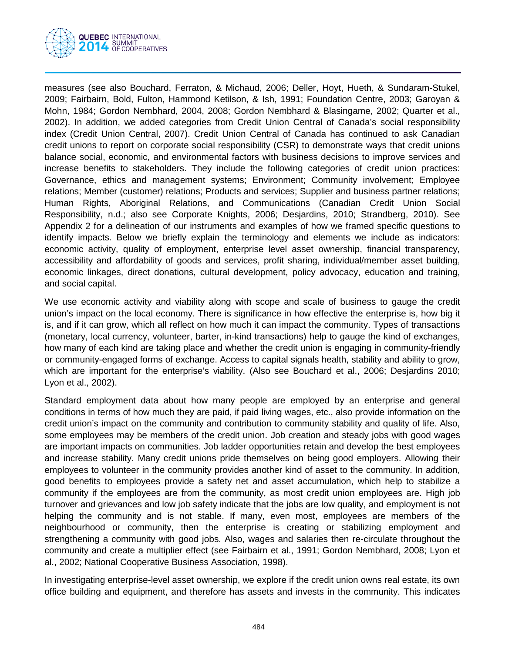

measures (see also Bouchard, Ferraton, & Michaud, 2006; Deller, Hoyt, Hueth, & Sundaram-Stukel, 2009; Fairbairn, Bold, Fulton, Hammond Ketilson, & Ish, 1991; Foundation Centre, 2003; Garoyan & Mohn, 1984; Gordon Nembhard, 2004, 2008; Gordon Nembhard & Blasingame, 2002; Quarter et al., 2002). In addition, we added categories from Credit Union Central of Canada's social responsibility index (Credit Union Central, 2007). Credit Union Central of Canada has continued to ask Canadian credit unions to report on corporate social responsibility (CSR) to demonstrate ways that credit unions balance social, economic, and environmental factors with business decisions to improve services and increase benefits to stakeholders. They include the following categories of credit union practices: Governance, ethics and management systems; Environment; Community involvement; Employee relations; Member (customer) relations; Products and services; Supplier and business partner relations; Human Rights, Aboriginal Relations, and Communications (Canadian Credit Union Social Responsibility, n.d.; also see Corporate Knights, 2006; Desjardins, 2010; Strandberg, 2010). See Appendix 2 for a delineation of our instruments and examples of how we framed specific questions to identify impacts. Below we briefly explain the terminology and elements we include as indicators: economic activity, quality of employment, enterprise level asset ownership, financial transparency, accessibility and affordability of goods and services, profit sharing, individual/member asset building, economic linkages, direct donations, cultural development, policy advocacy, education and training, and social capital.

We use economic activity and viability along with scope and scale of business to gauge the credit union's impact on the local economy. There is significance in how effective the enterprise is, how big it is, and if it can grow, which all reflect on how much it can impact the community. Types of transactions (monetary, local currency, volunteer, barter, in-kind transactions) help to gauge the kind of exchanges, how many of each kind are taking place and whether the credit union is engaging in community-friendly or community-engaged forms of exchange. Access to capital signals health, stability and ability to grow, which are important for the enterprise's viability. (Also see Bouchard et al., 2006; Desjardins 2010; Lyon et al., 2002).

Standard employment data about how many people are employed by an enterprise and general conditions in terms of how much they are paid, if paid living wages, etc., also provide information on the credit union's impact on the community and contribution to community stability and quality of life. Also, some employees may be members of the credit union. Job creation and steady jobs with good wages are important impacts on communities. Job ladder opportunities retain and develop the best employees and increase stability. Many credit unions pride themselves on being good employers. Allowing their employees to volunteer in the community provides another kind of asset to the community. In addition, good benefits to employees provide a safety net and asset accumulation, which help to stabilize a community if the employees are from the community, as most credit union employees are. High job turnover and grievances and low job safety indicate that the jobs are low quality, and employment is not helping the community and is not stable. If many, even most, employees are members of the neighbourhood or community, then the enterprise is creating or stabilizing employment and strengthening a community with good jobs. Also, wages and salaries then re-circulate throughout the community and create a multiplier effect (see Fairbairn et al., 1991; Gordon Nembhard, 2008; Lyon et al., 2002; National Cooperative Business Association, 1998).

In investigating enterprise-level asset ownership, we explore if the credit union owns real estate, its own office building and equipment, and therefore has assets and invests in the community. This indicates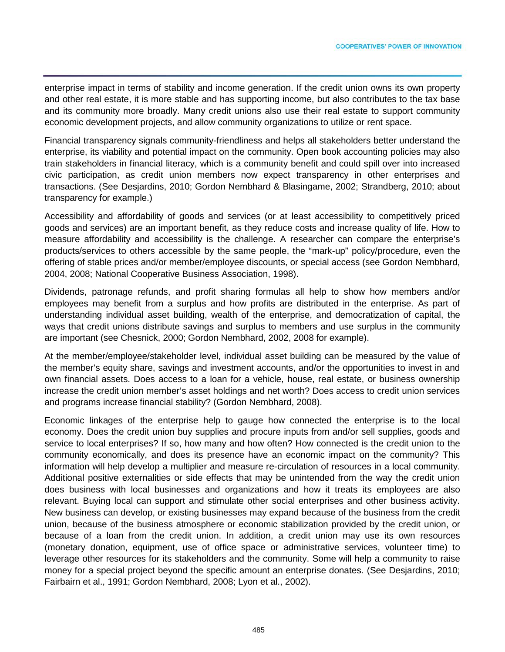enterprise impact in terms of stability and income generation. If the credit union owns its own property and other real estate, it is more stable and has supporting income, but also contributes to the tax base and its community more broadly. Many credit unions also use their real estate to support community economic development projects, and allow community organizations to utilize or rent space.

Financial transparency signals community-friendliness and helps all stakeholders better understand the enterprise, its viability and potential impact on the community. Open book accounting policies may also train stakeholders in financial literacy, which is a community benefit and could spill over into increased civic participation, as credit union members now expect transparency in other enterprises and transactions. (See Desjardins, 2010; Gordon Nembhard & Blasingame, 2002; Strandberg, 2010; about transparency for example.)

Accessibility and affordability of goods and services (or at least accessibility to competitively priced goods and services) are an important benefit, as they reduce costs and increase quality of life. How to measure affordability and accessibility is the challenge. A researcher can compare the enterprise's products/services to others accessible by the same people, the "mark-up" policy/procedure, even the offering of stable prices and/or member/employee discounts, or special access (see Gordon Nembhard, 2004, 2008; National Cooperative Business Association, 1998).

Dividends, patronage refunds, and profit sharing formulas all help to show how members and/or employees may benefit from a surplus and how profits are distributed in the enterprise. As part of understanding individual asset building, wealth of the enterprise, and democratization of capital, the ways that credit unions distribute savings and surplus to members and use surplus in the community are important (see Chesnick, 2000; Gordon Nembhard, 2002, 2008 for example).

At the member/employee/stakeholder level, individual asset building can be measured by the value of the member's equity share, savings and investment accounts, and/or the opportunities to invest in and own financial assets. Does access to a loan for a vehicle, house, real estate, or business ownership increase the credit union member's asset holdings and net worth? Does access to credit union services and programs increase financial stability? (Gordon Nembhard, 2008).

Economic linkages of the enterprise help to gauge how connected the enterprise is to the local economy. Does the credit union buy supplies and procure inputs from and/or sell supplies, goods and service to local enterprises? If so, how many and how often? How connected is the credit union to the community economically, and does its presence have an economic impact on the community? This information will help develop a multiplier and measure re-circulation of resources in a local community. Additional positive externalities or side effects that may be unintended from the way the credit union does business with local businesses and organizations and how it treats its employees are also relevant. Buying local can support and stimulate other social enterprises and other business activity. New business can develop, or existing businesses may expand because of the business from the credit union, because of the business atmosphere or economic stabilization provided by the credit union, or because of a loan from the credit union. In addition, a credit union may use its own resources (monetary donation, equipment, use of office space or administrative services, volunteer time) to leverage other resources for its stakeholders and the community. Some will help a community to raise money for a special project beyond the specific amount an enterprise donates. (See Desjardins, 2010; Fairbairn et al., 1991; Gordon Nembhard, 2008; Lyon et al., 2002).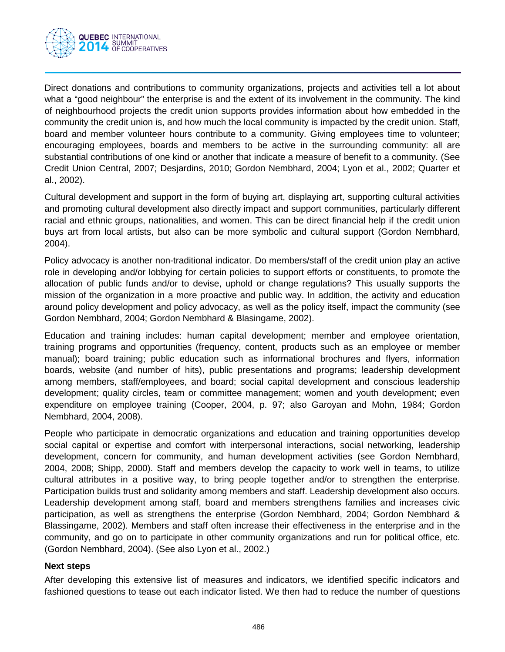

Direct donations and contributions to community organizations, projects and activities tell a lot about what a "good neighbour" the enterprise is and the extent of its involvement in the community. The kind of neighbourhood projects the credit union supports provides information about how embedded in the community the credit union is, and how much the local community is impacted by the credit union. Staff, board and member volunteer hours contribute to a community. Giving employees time to volunteer; encouraging employees, boards and members to be active in the surrounding community: all are substantial contributions of one kind or another that indicate a measure of benefit to a community. (See Credit Union Central, 2007; Desjardins, 2010; Gordon Nembhard, 2004; Lyon et al., 2002; Quarter et al., 2002).

Cultural development and support in the form of buying art, displaying art, supporting cultural activities and promoting cultural development also directly impact and support communities, particularly different racial and ethnic groups, nationalities, and women. This can be direct financial help if the credit union buys art from local artists, but also can be more symbolic and cultural support (Gordon Nembhard, 2004).

Policy advocacy is another non-traditional indicator. Do members/staff of the credit union play an active role in developing and/or lobbying for certain policies to support efforts or constituents, to promote the allocation of public funds and/or to devise, uphold or change regulations? This usually supports the mission of the organization in a more proactive and public way. In addition, the activity and education around policy development and policy advocacy, as well as the policy itself, impact the community (see Gordon Nembhard, 2004; Gordon Nembhard & Blasingame, 2002).

Education and training includes: human capital development; member and employee orientation, training programs and opportunities (frequency, content, products such as an employee or member manual); board training; public education such as informational brochures and flyers, information boards, website (and number of hits), public presentations and programs; leadership development among members, staff/employees, and board; social capital development and conscious leadership development; quality circles, team or committee management; women and youth development; even expenditure on employee training (Cooper, 2004, p. 97; also Garoyan and Mohn, 1984; Gordon Nembhard, 2004, 2008).

People who participate in democratic organizations and education and training opportunities develop social capital or expertise and comfort with interpersonal interactions, social networking, leadership development, concern for community, and human development activities (see Gordon Nembhard, 2004, 2008; Shipp, 2000). Staff and members develop the capacity to work well in teams, to utilize cultural attributes in a positive way, to bring people together and/or to strengthen the enterprise. Participation builds trust and solidarity among members and staff. Leadership development also occurs. Leadership development among staff, board and members strengthens families and increases civic participation, as well as strengthens the enterprise (Gordon Nembhard, 2004; Gordon Nembhard & Blassingame, 2002). Members and staff often increase their effectiveness in the enterprise and in the community, and go on to participate in other community organizations and run for political office, etc. (Gordon Nembhard, 2004). (See also Lyon et al., 2002.)

#### **Next steps**

After developing this extensive list of measures and indicators, we identified specific indicators and fashioned questions to tease out each indicator listed. We then had to reduce the number of questions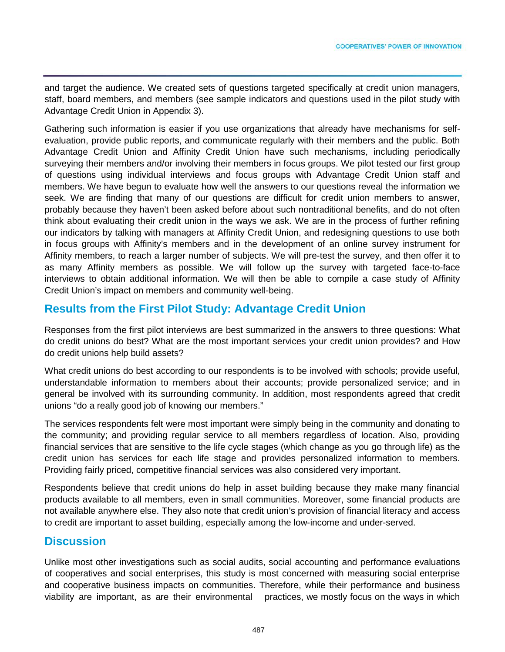and target the audience. We created sets of questions targeted specifically at credit union managers, staff, board members, and members (see sample indicators and questions used in the pilot study with Advantage Credit Union in Appendix 3).

Gathering such information is easier if you use organizations that already have mechanisms for selfevaluation, provide public reports, and communicate regularly with their members and the public. Both Advantage Credit Union and Affinity Credit Union have such mechanisms, including periodically surveying their members and/or involving their members in focus groups. We pilot tested our first group of questions using individual interviews and focus groups with Advantage Credit Union staff and members. We have begun to evaluate how well the answers to our questions reveal the information we seek. We are finding that many of our questions are difficult for credit union members to answer, probably because they haven't been asked before about such nontraditional benefits, and do not often think about evaluating their credit union in the ways we ask. We are in the process of further refining our indicators by talking with managers at Affinity Credit Union, and redesigning questions to use both in focus groups with Affinity's members and in the development of an online survey instrument for Affinity members, to reach a larger number of subjects. We will pre-test the survey, and then offer it to as many Affinity members as possible. We will follow up the survey with targeted face-to-face interviews to obtain additional information. We will then be able to compile a case study of Affinity Credit Union's impact on members and community well-being.

# **Results from the First Pilot Study: Advantage Credit Union**

Responses from the first pilot interviews are best summarized in the answers to three questions: What do credit unions do best? What are the most important services your credit union provides? and How do credit unions help build assets?

What credit unions do best according to our respondents is to be involved with schools; provide useful, understandable information to members about their accounts; provide personalized service; and in general be involved with its surrounding community. In addition, most respondents agreed that credit unions "do a really good job of knowing our members."

The services respondents felt were most important were simply being in the community and donating to the community; and providing regular service to all members regardless of location. Also, providing financial services that are sensitive to the life cycle stages (which change as you go through life) as the credit union has services for each life stage and provides personalized information to members. Providing fairly priced, competitive financial services was also considered very important.

Respondents believe that credit unions do help in asset building because they make many financial products available to all members, even in small communities. Moreover, some financial products are not available anywhere else. They also note that credit union's provision of financial literacy and access to credit are important to asset building, especially among the low-income and under-served.

## **Discussion**

Unlike most other investigations such as social audits, social accounting and performance evaluations of cooperatives and social enterprises, this study is most concerned with measuring social enterprise and cooperative business impacts on communities. Therefore, while their performance and business viability are important, as are their environmental practices, we mostly focus on the ways in which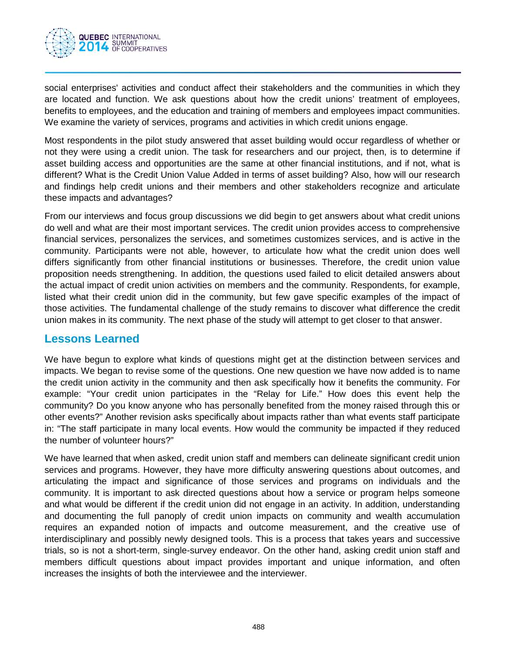

social enterprises' activities and conduct affect their stakeholders and the communities in which they are located and function. We ask questions about how the credit unions' treatment of employees, benefits to employees, and the education and training of members and employees impact communities. We examine the variety of services, programs and activities in which credit unions engage.

Most respondents in the pilot study answered that asset building would occur regardless of whether or not they were using a credit union. The task for researchers and our project, then, is to determine if asset building access and opportunities are the same at other financial institutions, and if not, what is different? What is the Credit Union Value Added in terms of asset building? Also, how will our research and findings help credit unions and their members and other stakeholders recognize and articulate these impacts and advantages?

From our interviews and focus group discussions we did begin to get answers about what credit unions do well and what are their most important services. The credit union provides access to comprehensive financial services, personalizes the services, and sometimes customizes services, and is active in the community. Participants were not able, however, to articulate how what the credit union does well differs significantly from other financial institutions or businesses. Therefore, the credit union value proposition needs strengthening. In addition, the questions used failed to elicit detailed answers about the actual impact of credit union activities on members and the community. Respondents, for example, listed what their credit union did in the community, but few gave specific examples of the impact of those activities. The fundamental challenge of the study remains to discover what difference the credit union makes in its community. The next phase of the study will attempt to get closer to that answer.

## **Lessons Learned**

We have begun to explore what kinds of questions might get at the distinction between services and impacts. We began to revise some of the questions. One new question we have now added is to name the credit union activity in the community and then ask specifically how it benefits the community. For example: "Your credit union participates in the "Relay for Life." How does this event help the community? Do you know anyone who has personally benefited from the money raised through this or other events?" Another revision asks specifically about impacts rather than what events staff participate in: "The staff participate in many local events. How would the community be impacted if they reduced the number of volunteer hours?"

We have learned that when asked, credit union staff and members can delineate significant credit union services and programs. However, they have more difficulty answering questions about outcomes, and articulating the impact and significance of those services and programs on individuals and the community. It is important to ask directed questions about how a service or program helps someone and what would be different if the credit union did not engage in an activity. In addition, understanding and documenting the full panoply of credit union impacts on community and wealth accumulation requires an expanded notion of impacts and outcome measurement, and the creative use of interdisciplinary and possibly newly designed tools. This is a process that takes years and successive trials, so is not a short-term, single-survey endeavor. On the other hand, asking credit union staff and members difficult questions about impact provides important and unique information, and often increases the insights of both the interviewee and the interviewer.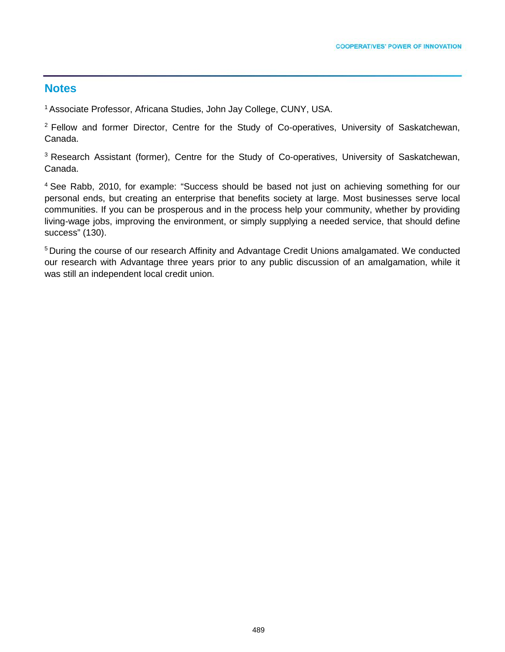## **Notes**

1 Associate Professor, Africana Studies, John Jay College, CUNY, USA.

<sup>2</sup> Fellow and former Director, Centre for the Study of Co-operatives, University of Saskatchewan, Canada.

<sup>3</sup> Research Assistant (former), Centre for the Study of Co-operatives, University of Saskatchewan, Canada.

<sup>4</sup> See Rabb, 2010, for example: "Success should be based not just on achieving something for our personal ends, but creating an enterprise that benefits society at large. Most businesses serve local communities. If you can be prosperous and in the process help your community, whether by providing living-wage jobs, improving the environment, or simply supplying a needed service, that should define success" (130).

5 During the course of our research Affinity and Advantage Credit Unions amalgamated. We conducted our research with Advantage three years prior to any public discussion of an amalgamation, while it was still an independent local credit union.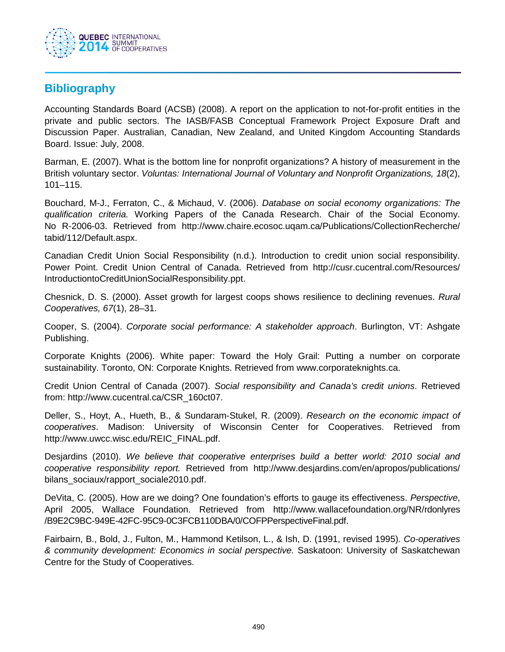

## **Bibliography**

Accounting Standards Board (ACSB) (2008). A report on the application to not-for-profit entities in the private and public sectors. The IASB/FASB Conceptual Framework Project Exposure Draft and Discussion Paper. Australian, Canadian, New Zealand, and United Kingdom Accounting Standards Board. Issue: July, 2008.

Barman, E. (2007). What is the bottom line for nonprofit organizations? A history of measurement in the British voluntary sector. *Voluntas: International Journal of Voluntary and Nonprofit Organizations, 18*(2), 101–115.

Bouchard, M-J., Ferraton, C., & Michaud, V. (2006). *Database on social economy organizations: The qualification criteria.* Working Papers of the Canada Research. Chair of the Social Economy. No R-2006-03. Retrieved from http://www.chaire.ecosoc.uqam.ca/Publications/CollectionRecherche/ tabid/112/Default.aspx.

Canadian Credit Union Social Responsibility (n.d.). Introduction to credit union social responsibility. Power Point. Credit Union Central of Canada. Retrieved from http://cusr.cucentral.com/Resources/ IntroductiontoCreditUnionSocialResponsibility.ppt.

Chesnick, D. S. (2000). Asset growth for largest coops shows resilience to declining revenues. *Rural Cooperatives, 67*(1), 28–31.

Cooper, S. (2004). *Corporate social performance: A stakeholder approach*. Burlington, VT: Ashgate Publishing.

Corporate Knights (2006). White paper: Toward the Holy Grail: Putting a number on corporate sustainability. Toronto, ON: Corporate Knights. Retrieved from www.corporateknights.ca.

Credit Union Central of Canada (2007). *Social responsibility and Canada's credit unions*. Retrieved from: http://www.cucentral.ca/CSR\_160ct07.

Deller, S., Hoyt, A., Hueth, B., & Sundaram-Stukel, R. (2009). *Research on the economic impact of cooperatives*. Madison: University of Wisconsin Center for Cooperatives. Retrieved from http://www.uwcc.wisc.edu/REIC\_FINAL.pdf.

Desjardins (2010). *We believe that cooperative enterprises build a better world: 2010 social and cooperative responsibility report.* Retrieved from http://www.desjardins.com/en/apropos/publications/ bilans\_sociaux/rapport\_sociale2010.pdf.

DeVita, C. (2005). How are we doing? One foundation's efforts to gauge its effectiveness. *Perspective*, April 2005, Wallace Foundation. Retrieved from http://www.wallacefoundation.org/NR/rdonlyres /B9E2C9BC-949E-42FC-95C9-0C3FCB110DBA/0/COFPPerspectiveFinal.pdf.

Fairbairn, B., Bold, J., Fulton, M., Hammond Ketilson, L., & Ish, D. (1991, revised 1995). *Co-operatives & community development: Economics in social perspective.* Saskatoon: University of Saskatchewan Centre for the Study of Cooperatives.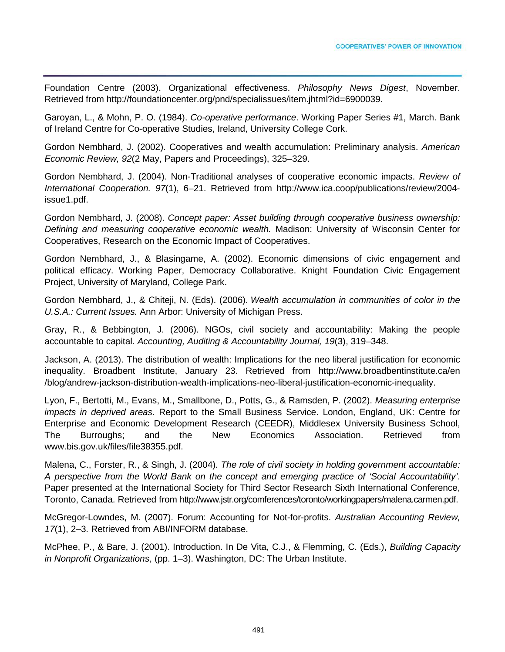Foundation Centre (2003). Organizational effectiveness. *Philosophy News Digest*, November. Retrieved from http://foundationcenter.org/pnd/specialissues/item.jhtml?id=6900039.

Garoyan, L., & Mohn, P. O. (1984). *Co-operative performance*. Working Paper Series #1, March. Bank of Ireland Centre for Co-operative Studies, Ireland, University College Cork.

Gordon Nembhard, J. (2002). Cooperatives and wealth accumulation: Preliminary analysis. *American Economic Review, 92*(2 May, Papers and Proceedings), 325–329.

Gordon Nembhard, J. (2004). Non-Traditional analyses of cooperative economic impacts. *Review of International Cooperation. 97*(1), 6–21. Retrieved from http://www.ica.coop/publications/review/2004 issue1.pdf.

Gordon Nembhard, J. (2008). *Concept paper: Asset building through cooperative business ownership: Defining and measuring cooperative economic wealth.* Madison: University of Wisconsin Center for Cooperatives, Research on the Economic Impact of Cooperatives.

Gordon Nembhard, J., & Blasingame, A. (2002). Economic dimensions of civic engagement and political efficacy. Working Paper, Democracy Collaborative. Knight Foundation Civic Engagement Project, University of Maryland, College Park.

Gordon Nembhard, J., & Chiteji, N. (Eds). (2006). *Wealth accumulation in communities of color in the U.S.A.: Current Issues.* Ann Arbor: University of Michigan Press.

Gray, R., & Bebbington, J. (2006). NGOs, civil society and accountability: Making the people accountable to capital. *Accounting, Auditing & Accountability Journal, 19*(3), 319–348.

Jackson, A. (2013). The distribution of wealth: Implications for the neo liberal justification for economic inequality. Broadbent Institute, January 23. Retrieved from http://www.broadbentinstitute.ca/en /blog/andrew-jackson-distribution-wealth-implications-neo-liberal-justification-economic-inequality.

Lyon, F., Bertotti, M., Evans, M., Smallbone, D., Potts, G., & Ramsden, P. (2002). *Measuring enterprise impacts in deprived areas.* Report to the Small Business Service. London, England, UK: Centre for Enterprise and Economic Development Research (CEEDR), Middlesex University Business School, The Burroughs; and the New Economics Association. Retrieved from www.bis.gov.uk/files/file38355.pdf.

Malena, C., Forster, R., & Singh, J. (2004). *The role of civil society in holding government accountable: A perspective from the World Bank on the concept and emerging practice of 'Social Accountability'*. Paper presented at the International Society for Third Sector Research Sixth International Conference, Toronto, Canada. Retrieved from http://www.jstr.org/comferences/toronto/workingpapers/malena.carmen.pdf.

McGregor-Lowndes, M. (2007). Forum: Accounting for Not-for-profits. *Australian Accounting Review, 17*(1), 2–3. Retrieved from ABI/INFORM database.

McPhee, P., & Bare, J. (2001). Introduction. In De Vita, C.J., & Flemming, C. (Eds.), *Building Capacity in Nonprofit Organizations*, (pp. 1–3). Washington, DC: The Urban Institute.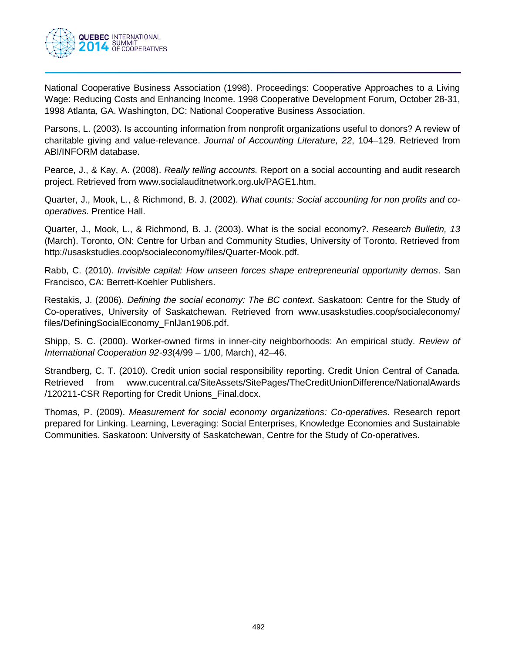

National Cooperative Business Association (1998). Proceedings: Cooperative Approaches to a Living Wage: Reducing Costs and Enhancing Income. 1998 Cooperative Development Forum, October 28-31, 1998 Atlanta, GA. Washington, DC: National Cooperative Business Association.

Parsons, L. (2003). Is accounting information from nonprofit organizations useful to donors? A review of charitable giving and value-relevance. *Journal of Accounting Literature, 22*, 104–129. Retrieved from ABI/INFORM database.

Pearce, J., & Kay, A. (2008). *Really telling accounts.* Report on a social accounting and audit research project. Retrieved from www.socialauditnetwork.org.uk/PAGE1.htm.

Quarter, J., Mook, L., & Richmond, B. J. (2002). *What counts: Social accounting for non profits and cooperatives*. Prentice Hall.

Quarter, J., Mook, L., & Richmond, B. J. (2003). What is the social economy?. *Research Bulletin, 13* (March). Toronto, ON: Centre for Urban and Community Studies, University of Toronto. Retrieved from http://usaskstudies.coop/socialeconomy/files/Quarter-Mook.pdf.

Rabb, C. (2010). *Invisible capital: How unseen forces shape entrepreneurial opportunity demos*. San Francisco, CA: Berrett-Koehler Publishers.

Restakis, J. (2006). *Defining the social economy: The BC context*. Saskatoon: Centre for the Study of Co-operatives, University of Saskatchewan. Retrieved from www.usaskstudies.coop/socialeconomy/ files/DefiningSocialEconomy\_FnlJan1906.pdf.

Shipp, S. C. (2000). Worker-owned firms in inner-city neighborhoods: An empirical study. *Review of International Cooperation 92-93*(4/99 – 1/00, March), 42–46.

Strandberg, C. T. (2010). Credit union social responsibility reporting. Credit Union Central of Canada. Retrieved from www.cucentral.ca/SiteAssets/SitePages/TheCreditUnionDifference/NationalAwards /120211-CSR Reporting for Credit Unions\_Final.docx.

Thomas, P. (2009). *Measurement for social economy organizations: Co-operatives*. Research report prepared for Linking. Learning, Leveraging: Social Enterprises, Knowledge Economies and Sustainable Communities. Saskatoon: University of Saskatchewan, Centre for the Study of Co-operatives.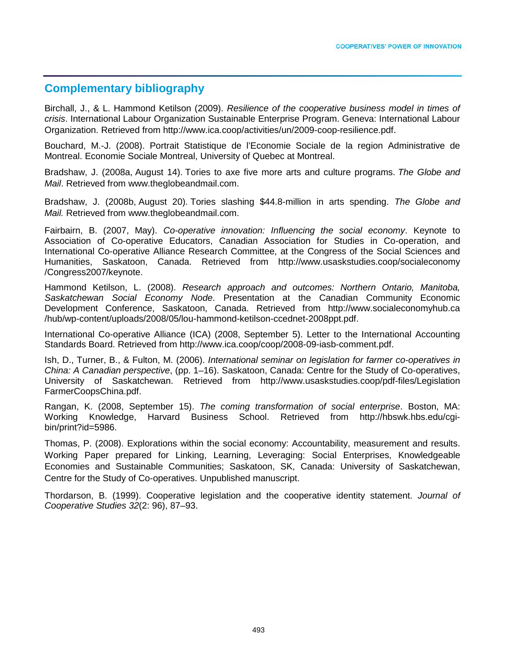## **Complementary bibliography**

Birchall, J., & L. Hammond Ketilson (2009). *Resilience of the cooperative business model in times of crisis*. International Labour Organization Sustainable Enterprise Program. Geneva: International Labour Organization. Retrieved from [http://www.ica.coop/activities/un/2009-coop-resilience.pdf.](http://www.ica.coop/activities/un/2009-coop-resilience.pdf)

Bouchard, M.-J. (2008). Portrait Statistique de l'Economie Sociale de la region Administrative de Montreal. Economie Sociale Montreal, University of Quebec at Montreal.

Bradshaw, J. (2008a, August 14). Tories to axe five more arts and culture programs. *The Globe and Mail*. Retrieved from www.theglobeandmail.com.

Bradshaw, J. (2008b, August 20). Tories slashing \$44.8-million in arts spending. *The Globe and Mail.* Retrieved from www.theglobeandmail.com.

Fairbairn, B. (2007, May). *Co-operative innovation: Influencing the social economy*. Keynote to Association of Co-operative Educators, Canadian Association for Studies in Co-operation, and International Co-operative Alliance Research Committee, at the Congress of the Social Sciences and Humanities, Saskatoon, Canada. Retrieved from http://www.usaskstudies.coop/socialeconomy /Congress2007/keynote.

Hammond Ketilson, L. (2008). *Research approach and outcomes: Northern Ontario, Manitoba, Saskatchewan Social Economy Node*. Presentation at the Canadian Community Economic Development Conference, Saskatoon, Canada. Retrieved from http://www.socialeconomyhub.ca /hub/wp-content/uploads/2008/05/lou-hammond-ketilson-ccednet-2008ppt.pdf.

International Co-operative Alliance (ICA) (2008, September 5). Letter to the International Accounting Standards Board. Retrieved from http://www.ica.coop/coop/2008-09-iasb-comment.pdf.

Ish, D., Turner, B., & Fulton, M. (2006). *International seminar on legislation for farmer co-operatives in China: A Canadian perspective*, (pp. 1–16). Saskatoon, Canada: Centre for the Study of Co-operatives, University of Saskatchewan. Retrieved from http://www.usaskstudies.coop/pdf-files/Legislation FarmerCoopsChina.pdf.

Rangan, K. (2008, September 15). *The coming transformation of social enterprise*. Boston, MA: Working Knowledge, Harvard Business School. Retrieved from http://hbswk.hbs.edu/cgibin/print?id=5986.

Thomas, P. (2008). Explorations within the social economy: Accountability, measurement and results. Working Paper prepared for Linking, Learning, Leveraging: Social Enterprises, Knowledgeable Economies and Sustainable Communities; Saskatoon, SK, Canada: University of Saskatchewan, Centre for the Study of Co-operatives. Unpublished manuscript.

Thordarson, B. (1999). Cooperative legislation and the cooperative identity statement. *Journal of Cooperative Studies 32*(2: 96), 87–93.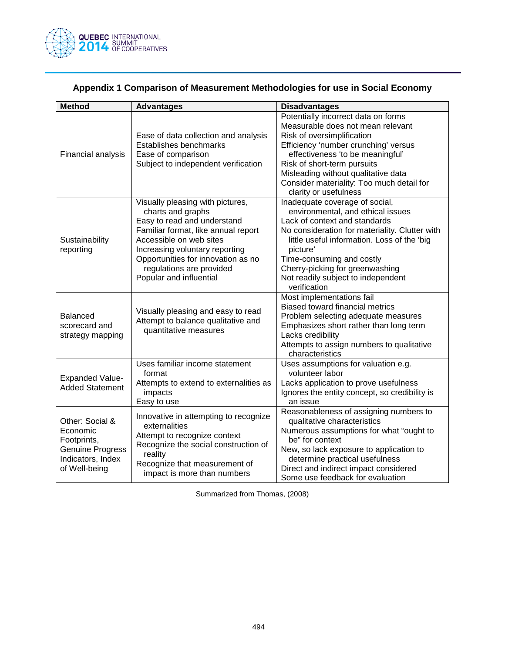

| <b>Method</b>                                                                                               | <b>Advantages</b>                                                                                                                                                                                                                                                                     | <b>Disadvantages</b>                                                                                                                                                                                                                                                                                                                    |
|-------------------------------------------------------------------------------------------------------------|---------------------------------------------------------------------------------------------------------------------------------------------------------------------------------------------------------------------------------------------------------------------------------------|-----------------------------------------------------------------------------------------------------------------------------------------------------------------------------------------------------------------------------------------------------------------------------------------------------------------------------------------|
| Financial analysis                                                                                          | Ease of data collection and analysis<br>Establishes benchmarks<br>Ease of comparison<br>Subject to independent verification                                                                                                                                                           | Potentially incorrect data on forms<br>Measurable does not mean relevant<br>Risk of oversimplification<br>Efficiency 'number crunching' versus<br>effectiveness 'to be meaningful'<br>Risk of short-term pursuits<br>Misleading without qualitative data<br>Consider materiality: Too much detail for<br>clarity or usefulness          |
| Sustainability<br>reporting                                                                                 | Visually pleasing with pictures,<br>charts and graphs<br>Easy to read and understand<br>Familiar format, like annual report<br>Accessible on web sites<br>Increasing voluntary reporting<br>Opportunities for innovation as no<br>regulations are provided<br>Popular and influential | Inadequate coverage of social,<br>environmental, and ethical issues<br>Lack of context and standards<br>No consideration for materiality. Clutter with<br>little useful information. Loss of the 'big<br>picture'<br>Time-consuming and costly<br>Cherry-picking for greenwashing<br>Not readily subject to independent<br>verification |
| <b>Balanced</b><br>scorecard and<br>strategy mapping                                                        | Visually pleasing and easy to read<br>Attempt to balance qualitative and<br>quantitative measures                                                                                                                                                                                     | Most implementations fail<br><b>Biased toward financial metrics</b><br>Problem selecting adequate measures<br>Emphasizes short rather than long term<br>Lacks credibility<br>Attempts to assign numbers to qualitative<br>characteristics                                                                                               |
| <b>Expanded Value-</b><br><b>Added Statement</b>                                                            | Uses familiar income statement<br>format<br>Attempts to extend to externalities as<br>impacts<br>Easy to use                                                                                                                                                                          | Uses assumptions for valuation e.g.<br>volunteer labor<br>Lacks application to prove usefulness<br>Ignores the entity concept, so credibility is<br>an issue                                                                                                                                                                            |
| Other: Social &<br>Economic<br>Footprints,<br><b>Genuine Progress</b><br>Indicators, Index<br>of Well-being | Innovative in attempting to recognize<br>externalities<br>Attempt to recognize context<br>Recognize the social construction of<br>reality<br>Recognize that measurement of<br>impact is more than numbers                                                                             | Reasonableness of assigning numbers to<br>qualitative characteristics<br>Numerous assumptions for what "ought to<br>be" for context<br>New, so lack exposure to application to<br>determine practical usefulness<br>Direct and indirect impact considered<br>Some use feedback for evaluation                                           |

# **Appendix 1 Comparison of Measurement Methodologies for use in Social Economy**

Summarized from Thomas, (2008)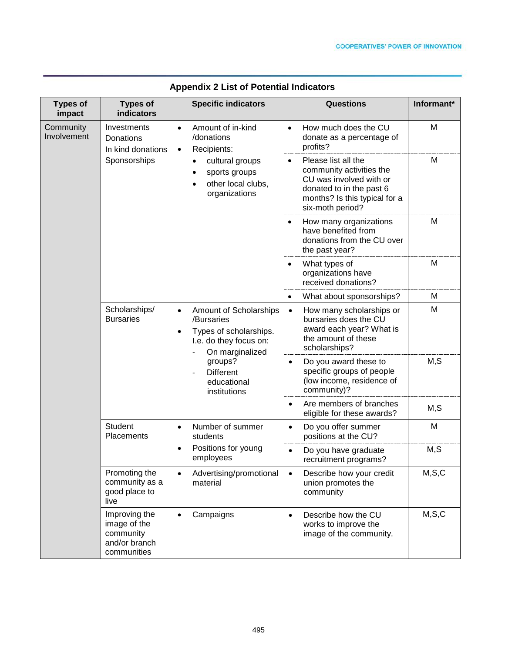| <b>Types of</b><br>impact | <b>Types of</b><br>indicators                                              | <b>Specific indicators</b>                                                                                                                                                                          | Questions                                                                                                                                                                | Informant* |
|---------------------------|----------------------------------------------------------------------------|-----------------------------------------------------------------------------------------------------------------------------------------------------------------------------------------------------|--------------------------------------------------------------------------------------------------------------------------------------------------------------------------|------------|
| Community<br>Involvement  | Investments<br>Donations<br>In kind donations<br>Sponsorships              | Amount of in-kind<br>$\bullet$<br>/donations<br>Recipients:<br>$\bullet$<br>cultural groups<br>sports groups<br>other local clubs,<br>$\bullet$<br>organizations                                    | How much does the CU<br>$\bullet$<br>donate as a percentage of<br>profits?                                                                                               | M          |
|                           |                                                                            |                                                                                                                                                                                                     | Please list all the<br>$\bullet$<br>community activities the<br>CU was involved with or<br>donated to in the past 6<br>months? Is this typical for a<br>six-moth period? | M          |
|                           |                                                                            |                                                                                                                                                                                                     | How many organizations<br>٠<br>have benefited from<br>donations from the CU over<br>the past year?                                                                       | M          |
|                           |                                                                            |                                                                                                                                                                                                     | What types of<br>$\bullet$<br>organizations have<br>received donations?                                                                                                  | M          |
|                           |                                                                            |                                                                                                                                                                                                     | What about sponsorships?<br>$\bullet$                                                                                                                                    | M          |
|                           | Scholarships/<br><b>Bursaries</b>                                          | Amount of Scholarships<br>$\bullet$<br>/Bursaries<br>Types of scholarships.<br>$\bullet$<br>I.e. do they focus on:<br>On marginalized<br>groups?<br><b>Different</b><br>educational<br>institutions | How many scholarships or<br>$\bullet$<br>bursaries does the CU<br>award each year? What is<br>the amount of these<br>scholarships?                                       | M          |
|                           |                                                                            |                                                                                                                                                                                                     | Do you award these to<br>$\bullet$<br>specific groups of people<br>(low income, residence of<br>community)?                                                              | M, S       |
|                           |                                                                            |                                                                                                                                                                                                     | Are members of branches<br>$\bullet$<br>eligible for these awards?                                                                                                       | M, S       |
|                           | Student<br>Placements                                                      | Number of summer<br>$\bullet$<br>students<br>Positions for young<br>$\bullet$<br>employees                                                                                                          | Do you offer summer<br>$\bullet$<br>positions at the CU?                                                                                                                 | M          |
|                           |                                                                            |                                                                                                                                                                                                     | Do you have graduate<br>$\bullet$<br>recruitment programs?                                                                                                               | M, S       |
|                           | Promoting the<br>community as a<br>good place to<br>live                   | Advertising/promotional<br>$\bullet$<br>material                                                                                                                                                    | Describe how your credit<br>$\bullet$<br>union promotes the<br>community                                                                                                 | M, S, C    |
|                           | Improving the<br>image of the<br>community<br>and/or branch<br>communities | Campaigns<br>$\bullet$                                                                                                                                                                              | Describe how the CU<br>$\bullet$<br>works to improve the<br>image of the community.                                                                                      | M, S, C    |

## **Appendix 2 List of Potential Indicators**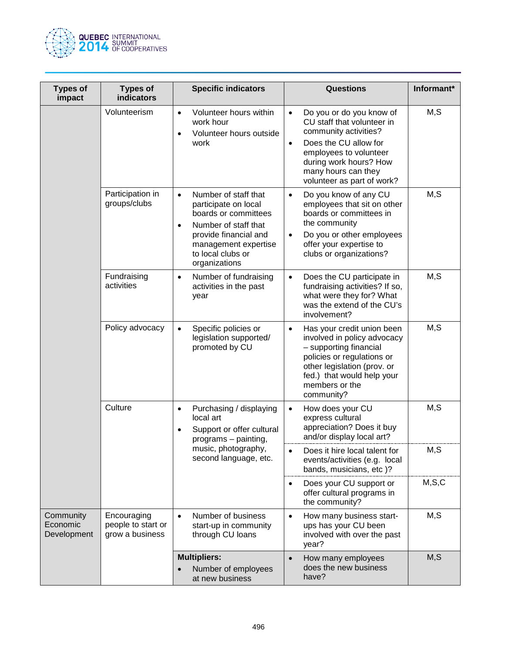

| <b>Types of</b><br>impact            | <b>Types of</b><br><b>indicators</b>                 | <b>Specific indicators</b>                                                                                                                                                                                    | <b>Questions</b>                                                                                                                                                                                                                            | Informant* |
|--------------------------------------|------------------------------------------------------|---------------------------------------------------------------------------------------------------------------------------------------------------------------------------------------------------------------|---------------------------------------------------------------------------------------------------------------------------------------------------------------------------------------------------------------------------------------------|------------|
|                                      | Volunteerism                                         | Volunteer hours within<br>$\bullet$<br>work hour<br>Volunteer hours outside<br>$\bullet$<br>work                                                                                                              | Do you or do you know of<br>$\bullet$<br>CU staff that volunteer in<br>community activities?<br>Does the CU allow for<br>$\bullet$<br>employees to volunteer<br>during work hours? How<br>many hours can they<br>volunteer as part of work? | M, S       |
|                                      | Participation in<br>groups/clubs                     | Number of staff that<br>$\bullet$<br>participate on local<br>boards or committees<br>Number of staff that<br>$\bullet$<br>provide financial and<br>management expertise<br>to local clubs or<br>organizations | Do you know of any CU<br>$\bullet$<br>employees that sit on other<br>boards or committees in<br>the community<br>Do you or other employees<br>$\bullet$<br>offer your expertise to<br>clubs or organizations?                               | M, S       |
|                                      | Fundraising<br>activities                            | Number of fundraising<br>$\bullet$<br>activities in the past<br>year                                                                                                                                          | Does the CU participate in<br>$\bullet$<br>fundraising activities? If so,<br>what were they for? What<br>was the extend of the CU's<br>involvement?                                                                                         | M, S       |
|                                      | Policy advocacy                                      | Specific policies or<br>legislation supported/<br>promoted by CU                                                                                                                                              | Has your credit union been<br>$\bullet$<br>involved in policy advocacy<br>- supporting financial<br>policies or regulations or<br>other legislation (prov. or<br>fed.) that would help your<br>members or the<br>community?                 | M, S       |
|                                      | Culture                                              | Purchasing / displaying<br>$\bullet$<br>local art<br>Support or offer cultural<br>$\bullet$<br>programs - painting,<br>music, photography,<br>second language, etc.                                           | How does your CU<br>$\bullet$<br>express cultural<br>appreciation? Does it buy<br>and/or display local art?                                                                                                                                 | M, S       |
|                                      |                                                      |                                                                                                                                                                                                               | Does it hire local talent for<br>$\bullet$<br>events/activities (e.g. local<br>bands, musicians, etc)?                                                                                                                                      | M, S       |
|                                      |                                                      |                                                                                                                                                                                                               | Does your CU support or<br>$\bullet$<br>offer cultural programs in<br>the community?                                                                                                                                                        | M, S, C    |
| Community<br>Economic<br>Development | Encouraging<br>people to start or<br>grow a business | Number of business<br>start-up in community<br>through CU loans                                                                                                                                               | How many business start-<br>$\bullet$<br>ups has your CU been<br>involved with over the past<br>year?                                                                                                                                       | M, S       |
|                                      |                                                      | <b>Multipliers:</b><br>Number of employees<br>at new business                                                                                                                                                 | How many employees<br>$\bullet$<br>does the new business<br>have?                                                                                                                                                                           | M, S       |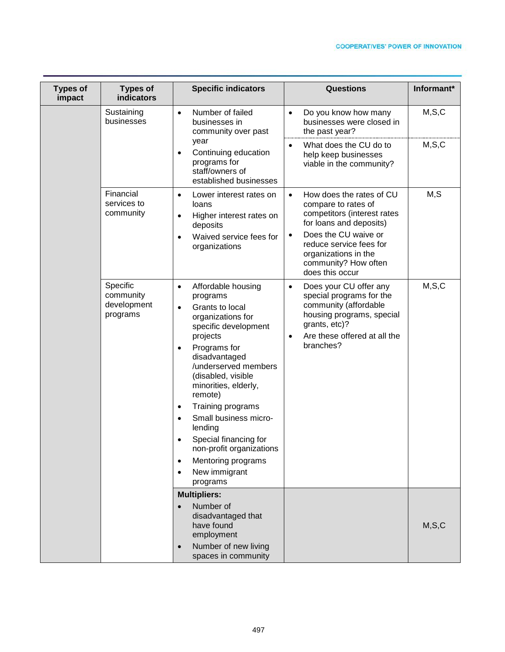| <b>Types of</b><br>impact | <b>Types of</b><br>indicators                    | <b>Specific indicators</b>                                                                                                                                                                                                                                                                                                                                                                                                                                                               | <b>Questions</b>                                                                                                                                                                                                                                          | Informant* |
|---------------------------|--------------------------------------------------|------------------------------------------------------------------------------------------------------------------------------------------------------------------------------------------------------------------------------------------------------------------------------------------------------------------------------------------------------------------------------------------------------------------------------------------------------------------------------------------|-----------------------------------------------------------------------------------------------------------------------------------------------------------------------------------------------------------------------------------------------------------|------------|
|                           | Sustaining<br>businesses                         | Number of failed<br>$\bullet$<br>businesses in<br>community over past                                                                                                                                                                                                                                                                                                                                                                                                                    | Do you know how many<br>$\bullet$<br>businesses were closed in<br>the past year?                                                                                                                                                                          | M, S, C    |
|                           |                                                  | year<br>Continuing education<br>$\bullet$<br>programs for<br>staff/owners of<br>established businesses                                                                                                                                                                                                                                                                                                                                                                                   | What does the CU do to<br>$\bullet$<br>help keep businesses<br>viable in the community?                                                                                                                                                                   | M, S, C    |
|                           | Financial<br>services to<br>community            | Lower interest rates on<br>$\bullet$<br>loans<br>Higher interest rates on<br>$\bullet$<br>deposits<br>Waived service fees for<br>$\bullet$<br>organizations                                                                                                                                                                                                                                                                                                                              | How does the rates of CU<br>$\bullet$<br>compare to rates of<br>competitors (interest rates<br>for loans and deposits)<br>Does the CU waive or<br>$\bullet$<br>reduce service fees for<br>organizations in the<br>community? How often<br>does this occur | M,S        |
|                           | Specific<br>community<br>development<br>programs | Affordable housing<br>$\bullet$<br>programs<br>Grants to local<br>$\bullet$<br>organizations for<br>specific development<br>projects<br>Programs for<br>$\bullet$<br>disadvantaged<br>/underserved members<br>(disabled, visible<br>minorities, elderly,<br>remote)<br>Training programs<br>$\bullet$<br>Small business micro-<br>$\bullet$<br>lending<br>Special financing for<br>non-profit organizations<br>Mentoring programs<br>$\bullet$<br>New immigrant<br>$\bullet$<br>programs | Does your CU offer any<br>$\bullet$<br>special programs for the<br>community (affordable<br>housing programs, special<br>grants, etc)?<br>Are these offered at all the<br>$\bullet$<br>branches?                                                          | M, S, C    |
|                           |                                                  | <b>Multipliers:</b><br>Number of<br>$\bullet$<br>disadvantaged that<br>have found<br>employment<br>Number of new living<br>$\bullet$<br>spaces in community                                                                                                                                                                                                                                                                                                                              |                                                                                                                                                                                                                                                           | M, S, C    |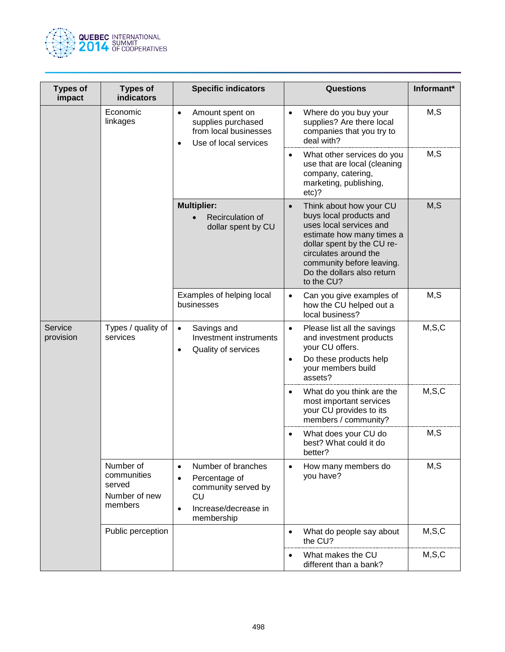

| <b>Types of</b><br>impact | <b>Types of</b><br><b>indicators</b>                           | <b>Specific indicators</b>                                                                                                                           | <b>Questions</b>                                                                                                                                                                                                                                        | Informant* |
|---------------------------|----------------------------------------------------------------|------------------------------------------------------------------------------------------------------------------------------------------------------|---------------------------------------------------------------------------------------------------------------------------------------------------------------------------------------------------------------------------------------------------------|------------|
|                           | Economic<br>linkages                                           | Amount spent on<br>$\bullet$<br>supplies purchased<br>from local businesses<br>Use of local services                                                 | Where do you buy your<br>$\bullet$<br>supplies? Are there local<br>companies that you try to<br>deal with?                                                                                                                                              | M, S       |
|                           |                                                                |                                                                                                                                                      | What other services do you<br>$\bullet$<br>use that are local (cleaning<br>company, catering,<br>marketing, publishing,<br>$etc$ ?                                                                                                                      | M, S       |
|                           |                                                                | <b>Multiplier:</b><br>Recirculation of<br>dollar spent by CU                                                                                         | Think about how your CU<br>$\bullet$<br>buys local products and<br>uses local services and<br>estimate how many times a<br>dollar spent by the CU re-<br>circulates around the<br>community before leaving.<br>Do the dollars also return<br>to the CU? | M, S       |
|                           |                                                                | Examples of helping local<br>businesses                                                                                                              | Can you give examples of<br>$\bullet$<br>how the CU helped out a<br>local business?                                                                                                                                                                     | M, S       |
| Service<br>provision      | Types / quality of<br>services                                 | Savings and<br>$\bullet$<br>Investment instruments<br>Quality of services                                                                            | Please list all the savings<br>$\bullet$<br>and investment products<br>your CU offers.<br>Do these products help<br>$\bullet$<br>your members build<br>assets?                                                                                          | M, S, C    |
|                           |                                                                |                                                                                                                                                      | What do you think are the<br>$\bullet$<br>most important services<br>your CU provides to its<br>members / community?                                                                                                                                    | M, S, C    |
|                           |                                                                |                                                                                                                                                      | What does your CU do<br>best? What could it do<br>better?                                                                                                                                                                                               | M, S       |
|                           | Number of<br>communities<br>served<br>Number of new<br>members | Number of branches<br>$\bullet$<br>Percentage of<br>$\bullet$<br>community served by<br><b>CU</b><br>Increase/decrease in<br>$\bullet$<br>membership | How many members do<br>$\bullet$<br>you have?                                                                                                                                                                                                           | M, S       |
|                           | Public perception                                              |                                                                                                                                                      | What do people say about<br>$\bullet$<br>the CU?                                                                                                                                                                                                        | M, S, C    |
|                           |                                                                |                                                                                                                                                      | What makes the CU<br>$\bullet$<br>different than a bank?                                                                                                                                                                                                | M, S, C    |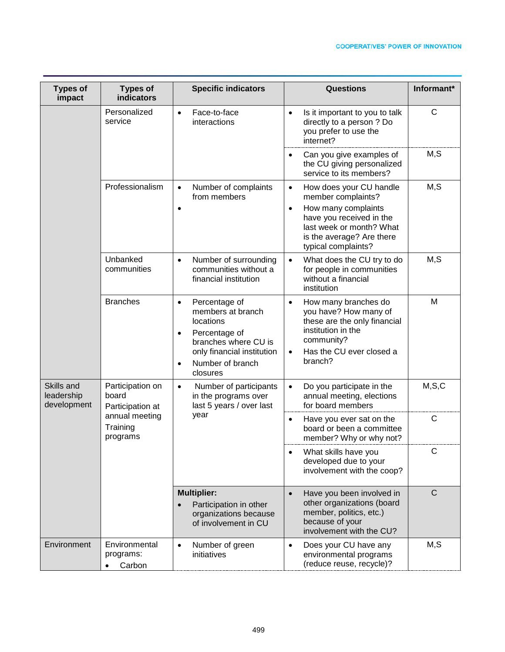| <b>Types of</b><br>impact               | <b>Types of</b><br>indicators                                                           | <b>Specific indicators</b>                                                                                                                                                                    | Questions                                                                                                                                                                                                  | Informant*   |
|-----------------------------------------|-----------------------------------------------------------------------------------------|-----------------------------------------------------------------------------------------------------------------------------------------------------------------------------------------------|------------------------------------------------------------------------------------------------------------------------------------------------------------------------------------------------------------|--------------|
|                                         | Personalized<br>service                                                                 | Face-to-face<br>$\bullet$<br>interactions                                                                                                                                                     | Is it important to you to talk<br>$\bullet$<br>directly to a person ? Do<br>you prefer to use the<br>internet?                                                                                             | $\mathsf C$  |
|                                         |                                                                                         |                                                                                                                                                                                               | Can you give examples of<br>$\bullet$<br>the CU giving personalized<br>service to its members?                                                                                                             | M, S         |
|                                         | Professionalism                                                                         | Number of complaints<br>$\bullet$<br>from members<br>$\bullet$                                                                                                                                | How does your CU handle<br>$\bullet$<br>member complaints?<br>How many complaints<br>$\bullet$<br>have you received in the<br>last week or month? What<br>is the average? Are there<br>typical complaints? | M, S         |
|                                         | Unbanked<br>communities                                                                 | Number of surrounding<br>$\bullet$<br>communities without a<br>financial institution                                                                                                          | What does the CU try to do<br>$\bullet$<br>for people in communities<br>without a financial<br>institution                                                                                                 | M, S         |
|                                         | <b>Branches</b>                                                                         | Percentage of<br>$\bullet$<br>members at branch<br>locations<br>Percentage of<br>$\bullet$<br>branches where CU is<br>only financial institution<br>Number of branch<br>$\bullet$<br>closures | How many branches do<br>$\bullet$<br>you have? How many of<br>these are the only financial<br>institution in the<br>community?<br>Has the CU ever closed a<br>$\bullet$<br>branch?                         | M            |
| Skills and<br>leadership<br>development | Participation on<br>board<br>Participation at<br>annual meeting<br>Training<br>programs | Number of participants<br>$\bullet$<br>in the programs over<br>last 5 years / over last<br>year                                                                                               | Do you participate in the<br>$\bullet$<br>annual meeting, elections<br>for board members                                                                                                                   | M, S, C      |
|                                         |                                                                                         |                                                                                                                                                                                               | Have you ever sat on the<br>$\bullet$<br>board or been a committee<br>member? Why or why not?                                                                                                              | C            |
|                                         |                                                                                         |                                                                                                                                                                                               | What skills have you<br>$\bullet$<br>developed due to your<br>involvement with the coop?                                                                                                                   | C            |
|                                         |                                                                                         | <b>Multiplier:</b><br>Participation in other<br>organizations because<br>of involvement in CU                                                                                                 | Have you been involved in<br>$\bullet$<br>other organizations (board<br>member, politics, etc.)<br>because of your<br>involvement with the CU?                                                             | $\mathsf{C}$ |
| Environment                             | Environmental<br>programs:<br>Carbon                                                    | Number of green<br>$\bullet$<br>initiatives                                                                                                                                                   | Does your CU have any<br>$\bullet$<br>environmental programs<br>(reduce reuse, recycle)?                                                                                                                   | M, S         |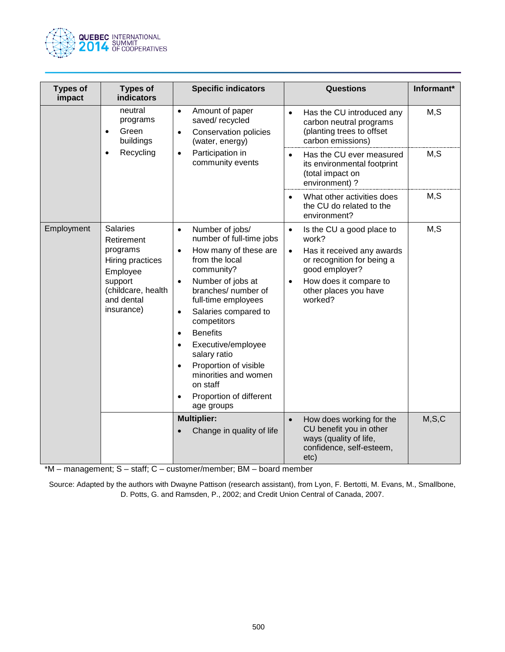

| <b>Types of</b><br>impact | <b>Types of</b><br><b>indicators</b>                                                                                                   | <b>Specific indicators</b>                                                                                                                                                                                                                                                                                                                                                                                                                                                            | <b>Questions</b>                                                                                                                                                                                                      | Informant* |
|---------------------------|----------------------------------------------------------------------------------------------------------------------------------------|---------------------------------------------------------------------------------------------------------------------------------------------------------------------------------------------------------------------------------------------------------------------------------------------------------------------------------------------------------------------------------------------------------------------------------------------------------------------------------------|-----------------------------------------------------------------------------------------------------------------------------------------------------------------------------------------------------------------------|------------|
|                           | neutral<br>programs<br>Green<br>$\bullet$<br>buildings<br>Recycling<br>$\bullet$                                                       | Amount of paper<br>$\bullet$<br>saved/recycled<br><b>Conservation policies</b><br>$\bullet$<br>(water, energy)<br>Participation in<br>$\bullet$<br>community events                                                                                                                                                                                                                                                                                                                   | Has the CU introduced any<br>$\bullet$<br>carbon neutral programs<br>(planting trees to offset<br>carbon emissions)                                                                                                   | M, S       |
|                           |                                                                                                                                        |                                                                                                                                                                                                                                                                                                                                                                                                                                                                                       | Has the CU ever measured<br>$\bullet$<br>its environmental footprint<br>(total impact on<br>environment) ?                                                                                                            | M, S       |
|                           |                                                                                                                                        |                                                                                                                                                                                                                                                                                                                                                                                                                                                                                       | What other activities does<br>$\bullet$<br>the CU do related to the<br>environment?                                                                                                                                   | M, S       |
| Employment                | <b>Salaries</b><br>Retirement<br>programs<br>Hiring practices<br>Employee<br>support<br>(childcare, health<br>and dental<br>insurance) | Number of jobs/<br>$\bullet$<br>number of full-time jobs<br>How many of these are<br>$\bullet$<br>from the local<br>community?<br>Number of jobs at<br>$\bullet$<br>branches/ number of<br>full-time employees<br>Salaries compared to<br>$\bullet$<br>competitors<br><b>Benefits</b><br>$\bullet$<br>Executive/employee<br>$\bullet$<br>salary ratio<br>Proportion of visible<br>$\bullet$<br>minorities and women<br>on staff<br>Proportion of different<br>$\bullet$<br>age groups | Is the CU a good place to<br>$\bullet$<br>work?<br>Has it received any awards<br>$\bullet$<br>or recognition for being a<br>good employer?<br>How does it compare to<br>$\bullet$<br>other places you have<br>worked? | M, S       |
|                           |                                                                                                                                        | <b>Multiplier:</b><br>Change in quality of life                                                                                                                                                                                                                                                                                                                                                                                                                                       | How does working for the<br>$\bullet$<br>CU benefit you in other<br>ways (quality of life,<br>confidence, self-esteem,<br>etc)                                                                                        | M, S, C    |

\*M – management; S – staff; C – customer/member; BM – board member

Source: Adapted by the authors with Dwayne Pattison (research assistant), from Lyon, F. Bertotti, M. Evans, M., Smallbone, D. Potts, G. and Ramsden, P., 2002; and Credit Union Central of Canada, 2007.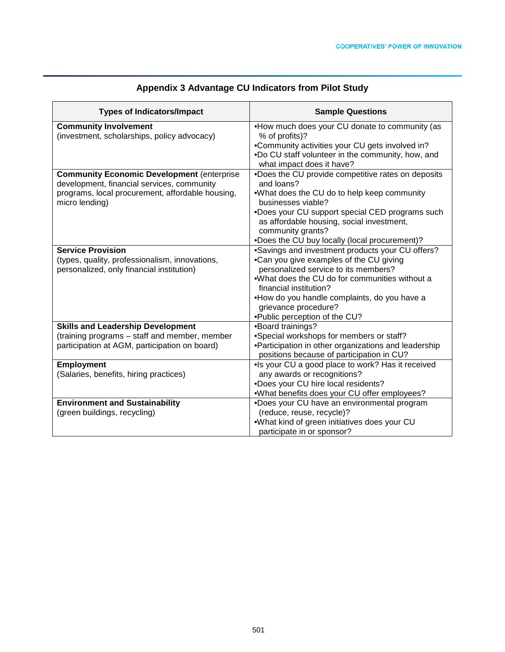| <b>Types of Indicators/Impact</b>                                                                                                                                     | <b>Sample Questions</b>                                                                                                                                                                                                                                                                                                  |
|-----------------------------------------------------------------------------------------------------------------------------------------------------------------------|--------------------------------------------------------------------------------------------------------------------------------------------------------------------------------------------------------------------------------------------------------------------------------------------------------------------------|
| <b>Community Involvement</b><br>(investment, scholarships, policy advocacy)                                                                                           | . How much does your CU donate to community (as<br>% of profits)?<br>•Community activities your CU gets involved in?<br>.Do CU staff volunteer in the community, how, and<br>what impact does it have?                                                                                                                   |
| <b>Community Economic Development (enterprise</b><br>development, financial services, community<br>programs, local procurement, affordable housing,<br>micro lending) | .Does the CU provide competitive rates on deposits<br>and loans?<br>.What does the CU do to help keep community<br>businesses viable?<br>.Does your CU support special CED programs such<br>as affordable housing, social investment,<br>community grants?<br>•Does the CU buy locally (local procurement)?              |
| <b>Service Provision</b><br>(types, quality, professionalism, innovations,<br>personalized, only financial institution)                                               | •Savings and investment products your CU offers?<br>•Can you give examples of the CU giving<br>personalized service to its members?<br>.What does the CU do for communities without a<br>financial institution?<br>•How do you handle complaints, do you have a<br>grievance procedure?<br>•Public perception of the CU? |
| <b>Skills and Leadership Development</b><br>(training programs - staff and member, member<br>participation at AGM, participation on board)                            | •Board trainings?<br>•Special workshops for members or staff?<br>•Participation in other organizations and leadership<br>positions because of participation in CU?                                                                                                                                                       |
| Employment<br>(Salaries, benefits, hiring practices)                                                                                                                  | •Is your CU a good place to work? Has it received<br>any awards or recognitions?<br>•Does your CU hire local residents?<br>.What benefits does your CU offer employees?                                                                                                                                                  |
| <b>Environment and Sustainability</b><br>(green buildings, recycling)                                                                                                 | •Does your CU have an environmental program<br>(reduce, reuse, recycle)?<br>.What kind of green initiatives does your CU<br>participate in or sponsor?                                                                                                                                                                   |

# **Appendix 3 Advantage CU Indicators from Pilot Study**